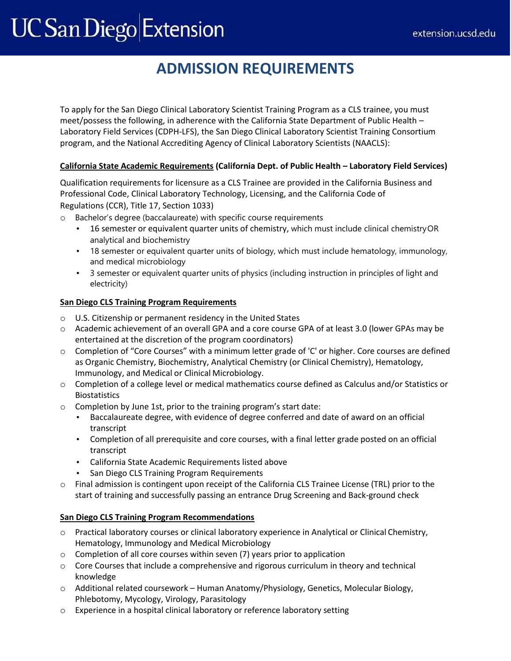# **UC San Diego Extension**

# **ADMISSION REQUIREMENTS**

To apply for the San Diego Clinical Laboratory Scientist Training Program as a CLS trainee, you must meet/possess the following, in adherence with the California State Department of Public Health – Laboratory Field Services (CDPH-LFS), the San Diego Clinical Laboratory Scientist Training Consortium program, and the National Accrediting Agency of Clinical Laboratory Scientists (NAACLS):

## **California State Academic Requirements (California Dept. of Public Health – Laboratory Field Services)**

Qualification requirements for licensure as a CLS Trainee are provided in the California Business and Professional Code, Clinical Laboratory Technology, Licensing, and the California Code of Regulations [\(CCR\), Title 17, Section 1033\)](https://secure.cpshr.us/cltreg/CLS_Trainee_business_code.pdf)

o Bachelor's degree (baccalaureate) with specific course requirements

- 16 semester or equivalent quarter units of chemistry, which must include clinical chemistryOR analytical and biochemistry
- 18 semester or equivalent quarter units of biology, which must include hematology, immunology, and medical microbiology
- 3 semester or equivalent quarter units of physics (including instruction in principles of light and electricity)

## **San Diego CLS Training Program Requirements**

- o U.S. Citizenship or permanent residency in the United States
- o Academic achievement of an overall GPA and a core course GPA of at least 3.0 (lower GPAs may be entertained at the discretion of the program coordinators)
- o Completion of "Core Courses" with a minimum letter grade of 'C' or higher. Core courses are defined as Organic Chemistry, Biochemistry, Analytical Chemistry (or Clinical Chemistry), Hematology, Immunology, and Medical or Clinical Microbiology.
- o Completion of a college level or medical mathematics course defined as Calculus and/or Statistics or Biostatistics
- o Completion by June 1st, prior to the training program's start date:
	- Baccalaureate degree, with evidence of degree conferred and date of award on an official transcript
	- Completion of all prerequisite and core courses, with a final letter grade posted on an official transcript
	- California State Academic Requirements listed above
	- San Diego CLS Training Program Requirements
- o Final admission is contingent upon receipt of the California CLS Trainee License (TRL) prior to the start of training and successfully passing an entrance Drug Screening and Back-ground check

## **San Diego CLS Training Program Recommendations**

- o Practical laboratory courses or clinical laboratory experience in Analytical or Clinical Chemistry, Hematology, Immunology and Medical Microbiology
- o Completion of all core courses within seven (7) years prior to application
- $\circ$  Core Courses that include a comprehensive and rigorous curriculum in theory and technical knowledge
- o Additional related coursework Human Anatomy/Physiology, Genetics, Molecular Biology, Phlebotomy, Mycology, Virology, Parasitology
- o Experience in a hospital clinical laboratory or reference laboratory setting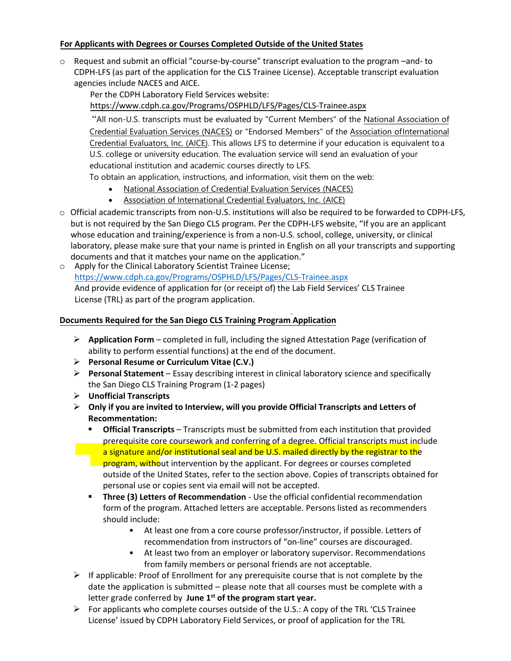#### **For Applicants with Degrees or Courses Completed Outside of the United States**

o Request and submit an official "course-by-course" transcript evaluation to the program –and- to CDPH-LFS (as part of the application for the CLS Trainee License). Acceptable transcript evaluation agencies include NACES and AICE.

Per the CDPH Laboratory Field Services website: https://www.cdph.ca.gov/Programs/OSPHLD/LFS/Pages/CLS-Trainee.aspx

"All non-U.S. transcripts must be evaluated by "Current Members" of the National Association of Credential Evaluation Services (NACES) or "Endorsed Members" of the Association of International [Credential Evaluators, Inc. \(AICE\). This allows LFS to determine if your educat](https://www.cdph.ca.gov/Programs/OSPHLD/LFS/Pages/CLS-Trainee.aspx)ion is equivalent to a U.S. college or university education. The evaluation service will send an ev[aluation of your](http://www.naces.org/members.html)  [educational institution and academic cou](http://www.naces.org/members.html)rses directly to LFS.

[To obtain an application, instructio](http://aice-eval.org/members/)ns, and information, visit them on the web:

- National Association of Credential Evaluation Services (NACES)
- Association of International Credential Evaluators, Inc. (AICE)
- $\circ$  Official academic transcripts from non-U.S. institutions will also be required to be forwarded to CDPH-LFS, but is not re[quired by the San Diego CLS program. Per the CDPH-](http://www.naces.org/members.html)LFS website, "If you are an applicant whose educ[ation and training/experience is from a non-U.S. school, colleg](http://aice-eval.org/members/)e, university, or clinical laboratory, please make sure that your name is printed in English on all your transcripts and supporting documents and that it matches your name on the application."
- o Apply for the Clinical Laboratory Scientist Trainee License; https://www.cdph.ca.gov/Programs/OSPHLD/LFS/Pages/CLS-Trainee.aspx And provide evidence of application for (or receipt of) the Lab Field Services' CLS Trainee License (TRL) as part of the program application.

#### **[Documents Required for the San Diego CLS Training Program Application](https://www.cdph.ca.gov/Programs/OSPHLD/LFS/Pages/CLS-Trainee.aspx)**

- ➢ **Application Form**  completed in full, including the signed Attestation Page (verification of ability to perform essential functions) at the end of the document.
- ➢ **Personal Resume or Curriculum Vitae (C.V.)**
- ➢ **Personal Statement**  Essay describing interest in clinical laboratory science and specifically the San Diego CLS Training Program (1-2 pages)
- ➢ **Unofficial Transcripts**
- ➢ **Only if you are invited to Interview, will you provide Official Transcripts and Letters of Recommentation:**
	- **Official Transcripts** Transcripts must be submitted from each institution that provided prerequisite core coursework and conferring of a degree. Official transcripts must include a signature and/or institutional seal and be U.S. mailed directly by the registrar to the program, without intervention by the applicant. For degrees or courses completed outside of the United States, refer to the section above. Copies of transcripts obtained for personal use or copies sent via email will not be accepted.
	- **Three (3) Letters of Recommendation** Use the official confidential recommendation form of the program. Attached letters are acceptable. Persons listed as recommenders should include:
		- At least one from a core course professor/instructor, if possible. Letters of recommendation from instructors of "on-line" courses are discouraged.
		- At least two from an employer or laboratory supervisor. Recommendations from family members or personal friends are not acceptable.
- $\triangleright$  If applicable: Proof of Enrollment for any prerequisite course that is not complete by the date the application is submitted – please note that all courses must be complete with a letter grade conferred by June 1<sup>st</sup> of the program start year.
- $\triangleright$  For applicants who complete courses outside of the U.S.: A copy of the TRL 'CLS Trainee License' issued by CDPH Laboratory Field Services, or proof of application for the TRL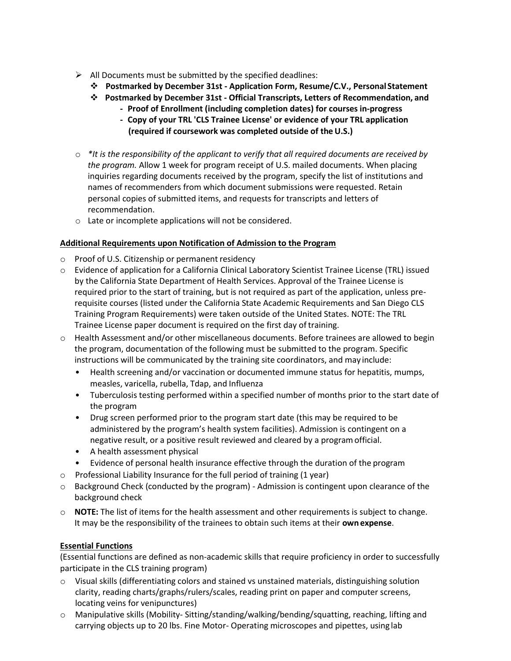- $\triangleright$  All Documents must be submitted by the specified deadlines:
	- ❖ **Postmarked by December 31st - Application Form, Resume/C.V., Personal Statement**
	- ❖ **Postmarked by December 31st - Official Transcripts, Letters of Recommendation, and**
		- **- Proof of Enrollment (including completion dates) for courses in-progress**
		- **- Copy of your TRL 'CLS Trainee License' or evidence of your TRL application (required if coursework was completed outside of the U.S.)**
- o *\*It is the responsibility of the applicant to verify that all required documents are received by the program.* Allow 1 week for program receipt of U.S. mailed documents. When placing inquiries regarding documents received by the program, specify the list of institutions and names of recommenders from which document submissions were requested. Retain personal copies of submitted items, and requests for transcripts and letters of recommendation.
- o Late or incomplete applications will not be considered.

#### **Additional Requirements upon Notification of Admission to the Program**

- $\circ$  Proof of U.S. Citizenship or permanent residency
- o Evidence of application for a California Clinical Laboratory Scientist Trainee License (TRL) issued by the California State Department of Health Services. Approval of the Trainee License is required prior to the start of training, but is not required as part of the application, unless prerequisite courses (listed under the California State Academic Requirements and San Diego CLS Training Program Requirements) were taken outside of the United States. NOTE: The TRL Trainee License paper document is required on the first day of training.
- $\circ$  Health Assessment and/or other miscellaneous documents. Before trainees are allowed to begin the program, documentation of the following must be submitted to the program. Specific instructions will be communicated by the training site coordinators, and may include:
	- Health screening and/or vaccination or documented immune status for hepatitis, mumps, measles, varicella, rubella, Tdap, and Influenza
	- Tuberculosis testing performed within a specified number of months prior to the start date of the program
	- Drug screen performed prior to the program start date (this may be required to be administered by the program's health system facilities). Admission is contingent on a negative result, or a positive result reviewed and cleared by a programofficial.
	- A health assessment physical
	- Evidence of personal health insurance effective through the duration of the program
- o Professional Liability Insurance for the full period of training (1 year)
- o Background Check (conducted by the program) Admission is contingent upon clearance of the background check
- o **NOTE:** The list of items for the health assessment and other requirements is subject to change. It may be the responsibility of the trainees to obtain such items at their **own expense**.

#### **Essential Functions**

(Essential functions are defined as non-academic skills that require proficiency in order to successfully participate in the CLS training program)

- $\circ$  Visual skills (differentiating colors and stained vs unstained materials, distinguishing solution clarity, reading charts/graphs/rulers/scales, reading print on paper and computer screens, locating veins for venipunctures)
- o Manipulative skills (Mobility- Sitting/standing/walking/bending/squatting, reaching, lifting and carrying objects up to 20 lbs. Fine Motor- Operating microscopes and pipettes, using lab